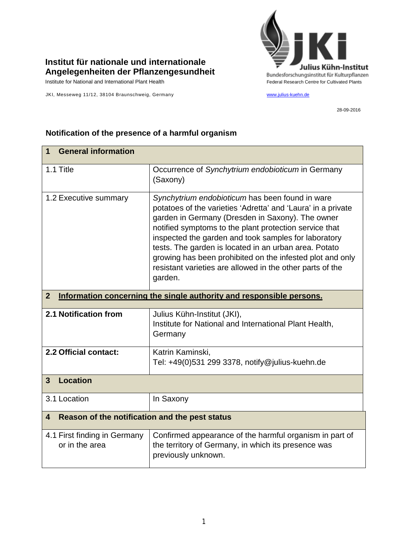

## **Institut für nationale und internationale Angelegenheiten der Pflanzengesundheit**

JKI, Messeweg 11/12, 38104 Braunschweig, Germany [www.julius-kuehn.de](http://www.julius-kuehn.de/)

28-09-2016

| <b>General information</b><br>1                                                        |                                                                                                                                                                                                                                                                                                                                                                                                                                                                                     |  |
|----------------------------------------------------------------------------------------|-------------------------------------------------------------------------------------------------------------------------------------------------------------------------------------------------------------------------------------------------------------------------------------------------------------------------------------------------------------------------------------------------------------------------------------------------------------------------------------|--|
| 1.1 Title                                                                              | Occurrence of Synchytrium endobioticum in Germany<br>(Saxony)                                                                                                                                                                                                                                                                                                                                                                                                                       |  |
| 1.2 Executive summary                                                                  | Synchytrium endobioticum has been found in ware<br>potatoes of the varieties 'Adretta' and 'Laura' in a private<br>garden in Germany (Dresden in Saxony). The owner<br>notified symptoms to the plant protection service that<br>inspected the garden and took samples for laboratory<br>tests. The garden is located in an urban area. Potato<br>growing has been prohibited on the infested plot and only<br>resistant varieties are allowed in the other parts of the<br>garden. |  |
| $\overline{2}$<br>Information concerning the single authority and responsible persons. |                                                                                                                                                                                                                                                                                                                                                                                                                                                                                     |  |
| <b>2.1 Notification from</b>                                                           | Julius Kühn-Institut (JKI),<br>Institute for National and International Plant Health,<br>Germany                                                                                                                                                                                                                                                                                                                                                                                    |  |
| 2.2 Official contact:                                                                  | Katrin Kaminski,<br>Tel: +49(0)531 299 3378, notify@julius-kuehn.de                                                                                                                                                                                                                                                                                                                                                                                                                 |  |
| <b>Location</b><br>$\overline{3}$                                                      |                                                                                                                                                                                                                                                                                                                                                                                                                                                                                     |  |
| 3.1 Location                                                                           | In Saxony                                                                                                                                                                                                                                                                                                                                                                                                                                                                           |  |
| Reason of the notification and the pest status<br>$\overline{\mathbf{4}}$              |                                                                                                                                                                                                                                                                                                                                                                                                                                                                                     |  |
| 4.1 First finding in Germany<br>or in the area                                         | Confirmed appearance of the harmful organism in part of<br>the territory of Germany, in which its presence was<br>previously unknown.                                                                                                                                                                                                                                                                                                                                               |  |

## **Notification of the presence of a harmful organism**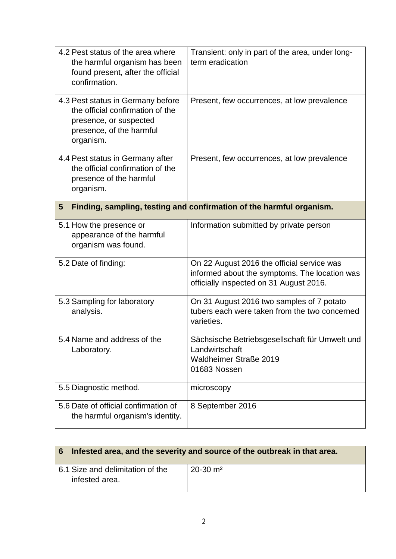| 4.2 Pest status of the area where<br>the harmful organism has been<br>found present, after the official<br>confirmation.                 | Transient: only in part of the area, under long-<br>term eradication                                                                   |
|------------------------------------------------------------------------------------------------------------------------------------------|----------------------------------------------------------------------------------------------------------------------------------------|
| 4.3 Pest status in Germany before<br>the official confirmation of the<br>presence, or suspected<br>presence, of the harmful<br>organism. | Present, few occurrences, at low prevalence                                                                                            |
| 4.4 Pest status in Germany after<br>the official confirmation of the<br>presence of the harmful<br>organism.                             | Present, few occurrences, at low prevalence                                                                                            |
| $5\phantom{.0}$                                                                                                                          | Finding, sampling, testing and confirmation of the harmful organism.                                                                   |
| 5.1 How the presence or<br>appearance of the harmful<br>organism was found.                                                              | Information submitted by private person                                                                                                |
| 5.2 Date of finding:                                                                                                                     | On 22 August 2016 the official service was<br>informed about the symptoms. The location was<br>officially inspected on 31 August 2016. |
| 5.3 Sampling for laboratory<br>analysis.                                                                                                 | On 31 August 2016 two samples of 7 potato<br>tubers each were taken from the two concerned<br>varieties.                               |
| 5.4 Name and address of the<br>Laboratory.                                                                                               | Sächsische Betriebsgesellschaft für Umwelt und<br>Landwirtschaft<br><b>Waldheimer Straße 2019</b><br>01683 Nossen                      |
| 5.5 Diagnostic method.                                                                                                                   | microscopy                                                                                                                             |
| 5.6 Date of official confirmation of<br>the harmful organism's identity.                                                                 | 8 September 2016                                                                                                                       |

| Infested area, and the severity and source of the outbreak in that area.<br>6 <sup>1</sup> |                        |  |
|--------------------------------------------------------------------------------------------|------------------------|--|
| 6.1 Size and delimitation of the<br>infested area.                                         | $20-30$ m <sup>2</sup> |  |